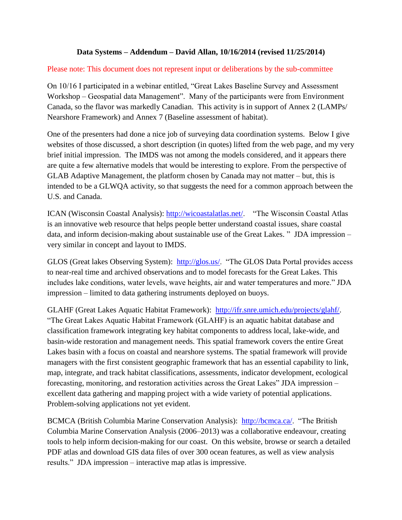## **Data Systems – Addendum – David Allan, 10/16/2014 (revised 11/25/2014)**

## Please note: This document does not represent input or deliberations by the sub-committee

On 10/16 I participated in a webinar entitled, "Great Lakes Baseline Survey and Assessment Workshop – Geospatial data Management". Many of the participants were from Environment Canada, so the flavor was markedly Canadian. This activity is in support of Annex 2 (LAMPs/ Nearshore Framework) and Annex 7 (Baseline assessment of habitat).

One of the presenters had done a nice job of surveying data coordination systems. Below I give websites of those discussed, a short description (in quotes) lifted from the web page, and my very brief initial impression. The IMDS was not among the models considered, and it appears there are quite a few alternative models that would be interesting to explore. From the perspective of GLAB Adaptive Management, the platform chosen by Canada may not matter – but, this is intended to be a GLWQA activity, so that suggests the need for a common approach between the U.S. and Canada.

ICAN (Wisconsin Coastal Analysis): [http://wicoastalatlas.net/.](http://wicoastalatlas.net/) "The Wisconsin Coastal Atlas is an innovative web resource that helps people better understand coastal issues, share coastal data, and inform decision-making about sustainable use of the Great Lakes. " JDA impression – very similar in concept and layout to IMDS.

GLOS (Great lakes Observing System): [http://glos.us/.](http://glos.us/) "The GLOS Data Portal provides access to near-real time and archived observations and to model forecasts for the Great Lakes. This includes lake conditions, water levels, wave heights, air and water temperatures and more." JDA impression – limited to data gathering instruments deployed on buoys.

GLAHF (Great Lakes Aquatic Habitat Framework): [http://ifr.snre.umich.edu/projects/glahf/.](http://ifr.snre.umich.edu/projects/glahf/) "The Great Lakes Aquatic Habitat Framework (GLAHF) is an aquatic habitat database and classification framework integrating key habitat components to address local, lake-wide, and basin-wide restoration and management needs. This spatial framework covers the entire Great Lakes basin with a focus on coastal and nearshore systems. The spatial framework will provide managers with the first consistent geographic framework that has an essential capability to link, map, integrate, and track habitat classifications, assessments, indicator development, ecological forecasting, monitoring, and restoration activities across the Great Lakes" JDA impression – excellent data gathering and mapping project with a wide variety of potential applications. Problem-solving applications not yet evident.

BCMCA (British Columbia Marine Conservation Analysis): [http://bcmca.ca/.](http://bcmca.ca/) "The British Columbia Marine Conservation Analysis (2006–2013) was a collaborative endeavour, creating tools to help inform decision-making for our coast. On this website, browse or search a detailed PDF atlas and download GIS data files of over 300 ocean features, as well as view analysis results." JDA impression – interactive map atlas is impressive.